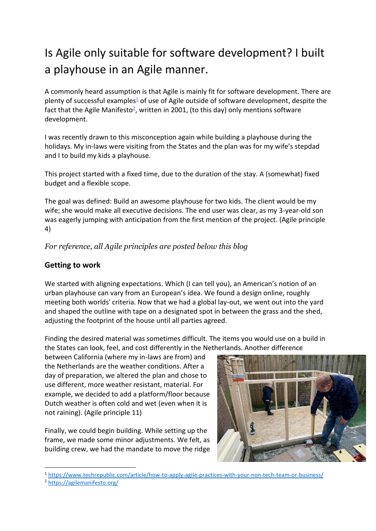## Is Agile only suitable for software development? I built a playhouse in an Agile manner.

A commonly heard assumption is that Agile is mainly fit for software development. There are plenty of successful examples $\frac{1}{2}$  of use of Agile outside of software development, despite the fact that the Agile Manifesto<sup>2</sup>, written in 2001, (to this day) only mentions software development.

I was recently drawn to this misconception again while building a playhouse during the holidays. My in-laws were visiting from the States and the plan was for my wife's stepdad and I to build my kids a playhouse.

This project started with a fixed time, due to the duration of the stay. A (somewhat) fixed budget and a flexible scope.

The goal was defined: Build an awesome playhouse for two kids. The client would be my wife; she would make all executive decisions. The end user was clear, as my 3-year-old son was eagerly jumping with anticipation from the first mention of the project. (Agile principle 4)

*For reference, all Agile principles are posted below this blog*

## **Getting to work**

We started with aligning expectations. Which (I can tell you), an American's notion of an urban playhouse can vary from an European's idea. We found a design online, roughly meeting both worlds' criteria. Now that we had a global lay-out, we went out into the yard and shaped the outline with tape on a designated spot in between the grass and the shed, adjusting the footprint of the house until all parties agreed.

Finding the desired material was sometimes difficult. The items you would use on a build in the States can look, feel, and cost differently in the Netherlands. Another difference

between California (where my in-laws are from) and the Netherlands are the weather conditions. After a day of preparation, we altered the plan and chose to use different, more weather resistant, material. For example, we decided to add a platform/floor because Dutch weather is often cold and wet (even when it is not raining). (Agile principle 11)

Finally, we could begin building. While setting up the frame, we made some minor adjustments. We felt, as building crew, we had the mandate to move the ridge



<sup>1</sup> <https://www.techrepublic.com/article/how-to-apply-agile-practices-with-your-non-tech-team-or-business/>

<sup>2</sup> <https://agilemanifesto.org/>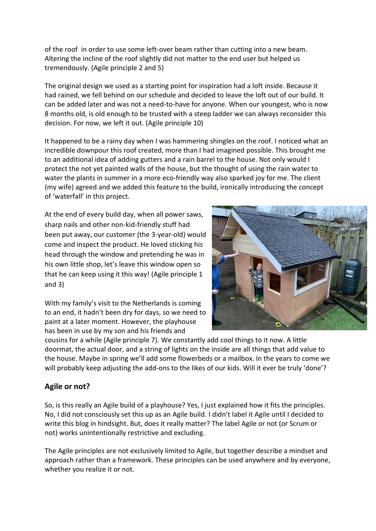of the roof in order to use some left-over beam rather than cutting into a new beam. Altering the incline of the roof slightly did not matter to the end user but helped us tremendously. (Agile principle 2 and 5)

The original design we used as a starting point for inspiration had a loft inside. Because it had rained, we fell behind on our schedule and decided to leave the loft out of our build. It can be added later and was not a need-to-have for anyone. When our youngest, who is now 8 months old, is old enough to be trusted with a steep ladder we can always reconsider this decision. For now, we left it out. (Agile principle 10)

It happened to be a rainy day when I was hammering shingles on the roof. I noticed what an incredible downpour this roof created, more than I had imagined possible. This brought me to an additional idea of adding gutters and a rain barrel to the house. Not only would I protect the not yet painted walls of the house, but the thought of using the rain water to water the plants in summer in a more eco-friendly way also sparked joy for me. The client (my wife) agreed and we added this feature to the build, ironically introducing the concept of 'waterfall' in this project.

At the end of every build day, when all power saws, sharp nails and other non-kid-friendly stuff had been put away, our customer (the 3-year-old) would come and inspect the product. He loved sticking his head through the window and pretending he was in his own little shop, let's leave this window open so that he can keep using it this way! (Agile principle 1 and 3)



With my family's visit to the Netherlands is coming to an end, it hadn't been dry for days, so we need to paint at a later moment. However, the playhouse has been in use by my son and his friends and

cousins for a while (Agile principle 7). We constantly add cool things to it now. A little doormat, the actual door, and a string of lights on the inside are all things that add value to the house. Maybe in spring we'll add some flowerbeds or a mailbox. In the years to come we will probably keep adjusting the add-ons to the likes of our kids. Will it ever be truly 'done'?

## **Agile or not?**

So, is this really an Agile build of a playhouse? Yes, I just explained how it fits the principles. No, I did not consciously set this up as an Agile build. I didn't label it Agile until I decided to write this blog in hindsight. But, does it really matter? The label Agile or not (or Scrum or not) works unintentionally restrictive and excluding.

The Agile principles are not exclusively limited to Agile, but together describe a mindset and approach rather than a framework. These principles can be used anywhere and by everyone, whether you realize it or not.